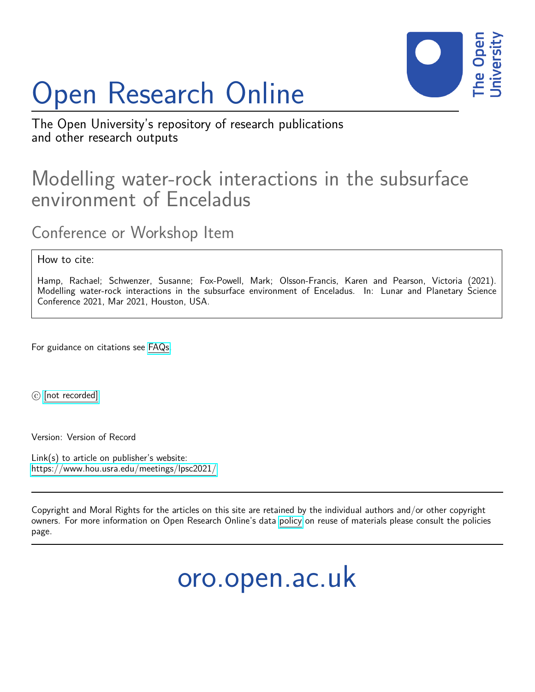

## Open Research Online

The Open University's repository of research publications and other research outputs

## Modelling water-rock interactions in the subsurface environment of Enceladus

Conference or Workshop Item

How to cite:

Hamp, Rachael; Schwenzer, Susanne; Fox-Powell, Mark; Olsson-Francis, Karen and Pearson, Victoria (2021). Modelling water-rock interactions in the subsurface environment of Enceladus. In: Lunar and Planetary Science Conference 2021, Mar 2021, Houston, USA.

For guidance on citations see [FAQs.](http://oro.open.ac.uk/help/helpfaq.html)

 $\circled{c}$  [\[not recorded\]](http://oro.open.ac.uk/help/helpfaq.html#Unrecorded_information_on_coversheet)

Version: Version of Record

Link(s) to article on publisher's website: <https://www.hou.usra.edu/meetings/lpsc2021/>

Copyright and Moral Rights for the articles on this site are retained by the individual authors and/or other copyright owners. For more information on Open Research Online's data [policy](http://oro.open.ac.uk/policies.html) on reuse of materials please consult the policies page.

oro.open.ac.uk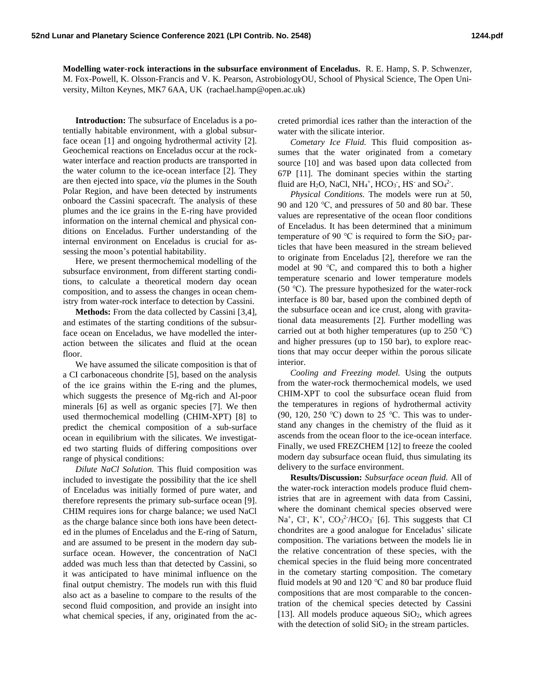**Modelling water-rock interactions in the subsurface environment of Enceladus.** R. E. Hamp, S. P. Schwenzer, M. Fox-Powell, K. Olsson-Francis and V. K. Pearson, AstrobiologyOU, School of Physical Science, The Open University, Milton Keynes, MK7 6AA, UK (rachael.hamp@open.ac.uk)

**Introduction:** The subsurface of Enceladus is a potentially habitable environment, with a global subsurface ocean [1] and ongoing hydrothermal activity [2]. Geochemical reactions on Enceladus occur at the rockwater interface and reaction products are transported in the water column to the ice-ocean interface [2]. They are then ejected into space, *via* the plumes in the South Polar Region, and have been detected by instruments onboard the Cassini spacecraft. The analysis of these plumes and the ice grains in the E-ring have provided information on the internal chemical and physical conditions on Enceladus. Further understanding of the internal environment on Enceladus is crucial for assessing the moon's potential habitability.

Here, we present thermochemical modelling of the subsurface environment, from different starting conditions, to calculate a theoretical modern day ocean composition, and to assess the changes in ocean chemistry from water-rock interface to detection by Cassini.

**Methods:** From the data collected by Cassini [3,4], and estimates of the starting conditions of the subsurface ocean on Enceladus, we have modelled the interaction between the silicates and fluid at the ocean floor.

We have assumed the silicate composition is that of a CI carbonaceous chondrite [5], based on the analysis of the ice grains within the E-ring and the plumes, which suggests the presence of Mg-rich and Al-poor minerals [6] as well as organic species [7]. We then used thermochemical modelling (CHIM-XPT) [8] to predict the chemical composition of a sub-surface ocean in equilibrium with the silicates. We investigated two starting fluids of differing compositions over range of physical conditions:

*Dilute NaCl Solution.* This fluid composition was included to investigate the possibility that the ice shell of Enceladus was initially formed of pure water, and therefore represents the primary sub-surface ocean [9]. CHIM requires ions for charge balance; we used NaCl as the charge balance since both ions have been detected in the plumes of Enceladus and the E-ring of Saturn, and are assumed to be present in the modern day subsurface ocean. However, the concentration of NaCl added was much less than that detected by Cassini, so it was anticipated to have minimal influence on the final output chemistry. The models run with this fluid also act as a baseline to compare to the results of the second fluid composition, and provide an insight into what chemical species, if any, originated from the accreted primordial ices rather than the interaction of the water with the silicate interior.

*Cometary Ice Fluid.* This fluid composition assumes that the water originated from a cometary source [10] and was based upon data collected from 67P [11]. The dominant species within the starting fluid are H<sub>2</sub>O, NaCl, NH<sub>4</sub><sup>+</sup>, HCO<sub>3</sub><sup>-</sup>, HS<sup>-</sup> and SO<sub>4</sub><sup>2</sup><sup>-</sup>.

*Physical Conditions.* The models were run at 50, 90 and 120 ℃, and pressures of 50 and 80 bar. These values are representative of the ocean floor conditions of Enceladus. It has been determined that a minimum temperature of 90 °C is required to form the  $SiO<sub>2</sub>$  particles that have been measured in the stream believed to originate from Enceladus [2], therefore we ran the model at 90 ℃, and compared this to both a higher temperature scenario and lower temperature models (50 ℃). The pressure hypothesized for the water-rock interface is 80 bar, based upon the combined depth of the subsurface ocean and ice crust, along with gravitational data measurements [2]. Further modelling was carried out at both higher temperatures (up to 250 ℃) and higher pressures (up to 150 bar), to explore reactions that may occur deeper within the porous silicate interior.

*Cooling and Freezing model.* Using the outputs from the water-rock thermochemical models, we used CHIM-XPT to cool the subsurface ocean fluid from the temperatures in regions of hydrothermal activity (90, 120, 250 °C) down to 25 °C. This was to understand any changes in the chemistry of the fluid as it ascends from the ocean floor to the ice-ocean interface. Finally, we used FREZCHEM [12] to freeze the cooled modern day subsurface ocean fluid, thus simulating its delivery to the surface environment.

**Results/Discussion:** *Subsurface ocean fluid.* All of the water-rock interaction models produce fluid chemistries that are in agreement with data from Cassini, where the dominant chemical species observed were Na<sup>+</sup>, Cl<sup>-</sup>, K<sup>+</sup>, CO<sub>3</sub><sup>2-</sup>/HCO<sub>3</sub><sup>-</sup> [6]. This suggests that CI chondrites are a good analogue for Enceladus' silicate composition. The variations between the models lie in the relative concentration of these species, with the chemical species in the fluid being more concentrated in the cometary starting composition. The cometary fluid models at 90 and 120 ℃ and 80 bar produce fluid compositions that are most comparable to the concentration of the chemical species detected by Cassini [13]. All models produce aqueous  $SiO<sub>2</sub>$ , which agrees with the detection of solid  $SiO<sub>2</sub>$  in the stream particles.